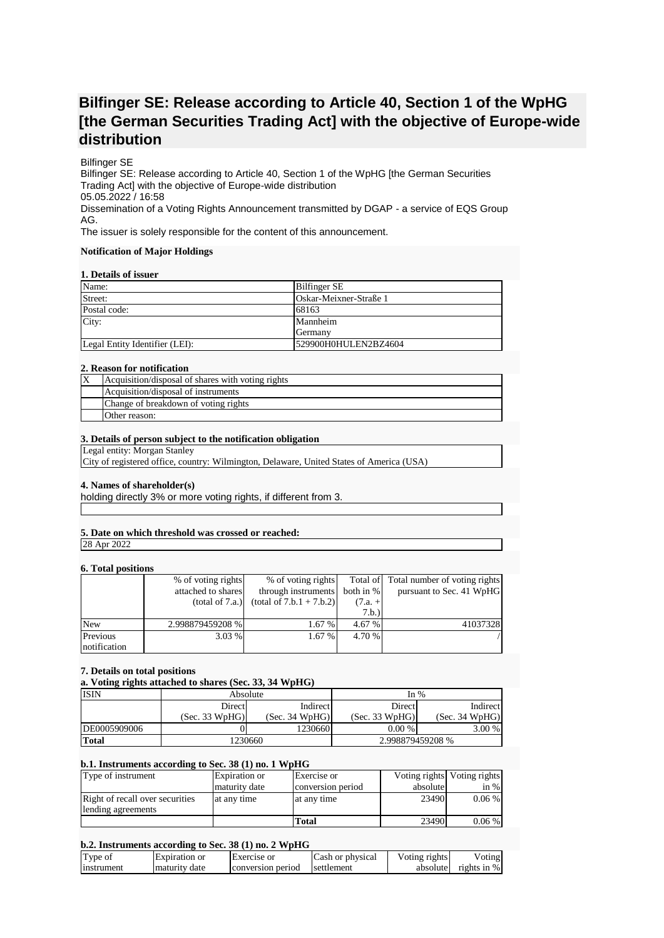# **Bilfinger SE: Release according to Article 40, Section 1 of the WpHG [the German Securities Trading Act] with the objective of Europe-wide distribution**

# Bilfinger SE

Bilfinger SE: Release according to Article 40, Section 1 of the WpHG [the German Securities Trading Act] with the objective of Europe-wide distribution 05.05.2022 / 16:58 Dissemination of a Voting Rights Announcement transmitted by DGAP - a service of EQS Group AG.

The issuer is solely responsible for the content of this announcement.

## **Notification of Major Holdings**

## **1. Details of issuer**

| Name:                          | <b>Bilfinger SE</b>    |  |
|--------------------------------|------------------------|--|
| Street:                        | Oskar-Meixner-Straße 1 |  |
| Postal code:                   | 68163                  |  |
| City:                          | Mannheim               |  |
|                                | Germany                |  |
| Legal Entity Identifier (LEI): | 529900H0HULEN2BZ4604   |  |

## **2. Reason for notification**

| ΙX | Acquisition/disposal of shares with voting rights |
|----|---------------------------------------------------|
|    | Acquisition/disposal of instruments               |
|    | Change of breakdown of voting rights              |
|    | Other reason:                                     |

## **3. Details of person subject to the notification obligation**

Legal entity: Morgan Stanley

City of registered office, country: Wilmington, Delaware, United States of America (USA)

# **4. Names of shareholder(s)**

holding directly 3% or more voting rights, if different from 3.

# **5. Date on which threshold was crossed or reached:**

28 Apr 2022

# **6. Total positions**

| <b>v. Total positions</b> |                    |                            |           |                                        |
|---------------------------|--------------------|----------------------------|-----------|----------------------------------------|
|                           | % of voting rights | % of voting rights         |           | Total of Total number of voting rights |
|                           | attached to shares | through instruments        | both in % | pursuant to Sec. 41 WpHG               |
|                           | (total of 7.a.)    | $(total of 7.b.1 + 7.b.2)$ | $(7.a. +$ |                                        |
|                           |                    |                            | 7.b.)     |                                        |
| <b>New</b>                | 2.998879459208 %   | 1.67 %                     | 4.67 %    | 41037328                               |
| Previous                  | $3.03\%$           | 1.67 %                     | 4.70 %    |                                        |
| notification              |                    |                            |           |                                        |

# **7. Details on total positions**

**a. Voting rights attached to shares (Sec. 33, 34 WpHG)**

| <b>ISIN</b>  | Absolute       |                | In $%$           |                |
|--------------|----------------|----------------|------------------|----------------|
|              | Direct         | Indirect       | <b>Direct</b>    | Indirect       |
|              | (Sec. 33 WpHG) | (Sec. 34 WpHG) | (Sec. 33 WpHG)   | (Sec. 34 WpHG) |
| DE0005909006 |                | 1230660        | 0.00%            | $3.00\%$       |
| <b>Total</b> | 1230660        |                | 2.998879459208 % |                |

#### **b.1. Instruments according to Sec. 38 (1) no. 1 WpHG**

| Type of instrument              | Expiration or | Exercise or       |          | Voting rights Voting rights |
|---------------------------------|---------------|-------------------|----------|-----------------------------|
|                                 | maturity date | conversion period | absolute | in $%$                      |
| Right of recall over securities | at any time   | at any time       | 23490    | $0.06\%$                    |
| lending agreements              |               |                   |          |                             |
|                                 |               | Total             | 23490    | $0.06\%$                    |

# **b.2. Instruments according to Sec. 38 (1) no. 2 WpHG**

| Type of           | Expiration or | Exercise or       | Cash or physical | Voting rights | /oting         |
|-------------------|---------------|-------------------|------------------|---------------|----------------|
| <b>Instrument</b> | maturity date | conversion period | settlement       | absolute      | rights in $\%$ |